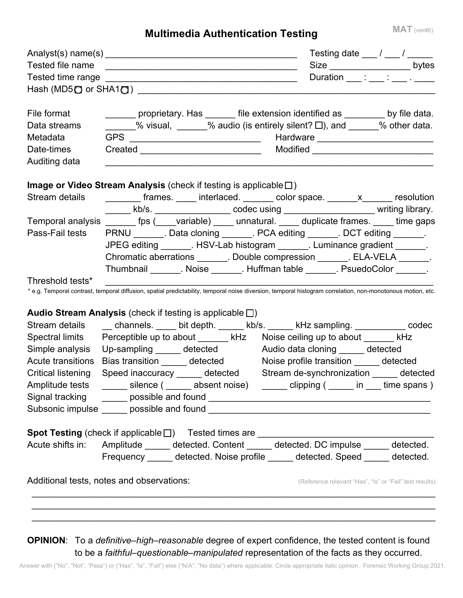## **Multimedia Authentication Testing**

|                                                                                                      |                                                                                                                                                             | Testing date $\frac{1}{\sqrt{2\pi}}$ / $\frac{1}{\sqrt{2\pi}}$ |
|------------------------------------------------------------------------------------------------------|-------------------------------------------------------------------------------------------------------------------------------------------------------------|----------------------------------------------------------------|
| Tested file name                                                                                     |                                                                                                                                                             | Size _______________________bytes                              |
|                                                                                                      |                                                                                                                                                             | Duration ___ : ___ : ___ . ___                                 |
|                                                                                                      |                                                                                                                                                             |                                                                |
| File format                                                                                          | ______ proprietary. Has ______ file extension identified as ________ by file data.                                                                          |                                                                |
| Data streams                                                                                         | $\frac{1}{2}$ % visual, $\frac{1}{2}$ % audio (is entirely silent? $\Box$ ), and $\frac{1}{2}$ % other data.                                                |                                                                |
| Metadata                                                                                             |                                                                                                                                                             |                                                                |
| Date-times                                                                                           |                                                                                                                                                             |                                                                |
| Auditing data                                                                                        |                                                                                                                                                             |                                                                |
|                                                                                                      | <b>Image or Video Stream Analysis</b> (check if testing is applicable $\square$ )                                                                           |                                                                |
| Stream details                                                                                       | ________ frames. ____ interlaced. ______ color space. ______x______ resolution                                                                              |                                                                |
|                                                                                                      | ______ kb/s. __________________ codec using _________________________ writing library.                                                                      |                                                                |
|                                                                                                      | Temporal analysis _______ fps (____variable) _____ unnatural. _____ duplicate frames. ____ time gaps                                                        |                                                                |
|                                                                                                      | Pass-Fail tests PRNU _______. Data cloning _______. PCA editing ______. DCT editing ______.                                                                 |                                                                |
| JPEG editing _______. HSV-Lab histogram ______. Luminance gradient ______.                           |                                                                                                                                                             |                                                                |
|                                                                                                      | Chromatic aberrations _______. Double compression ______. ELA-VELA ______.                                                                                  |                                                                |
|                                                                                                      | Thumbnail ________. Noise _______. Huffman table _______. PsuedoColor _______.                                                                              |                                                                |
| Threshold tests*                                                                                     |                                                                                                                                                             |                                                                |
|                                                                                                      | * e.g. Temporal contrast, temporal diffusion, spatial predictability, temporal noise diversion, temporal histogram correlation, non-monotonous motion, etc. |                                                                |
|                                                                                                      | Audio Stream Analysis (check if testing is applicable $\square$ )                                                                                           |                                                                |
|                                                                                                      | Stream details _____ channels. _____ bit depth. ______ kb/s. ______ kHz sampling. ___________ codec                                                         |                                                                |
|                                                                                                      | Spectral limits Perceptible up to about ______ kHz Noise ceiling up to about ______ kHz                                                                     |                                                                |
| Simple analysis                                                                                      | Up-sampling _____ detected Audio data cloning _____ detected                                                                                                |                                                                |
| Acute transitions                                                                                    | Bias transition ______ detected Moise profile transition ______ detected                                                                                    |                                                                |
| <b>Critical listening</b>                                                                            | Speed inaccuracy ______ detected Stream de-synchronization _____ detected                                                                                   |                                                                |
|                                                                                                      | Amplitude tests _______ silence ( ______ absent noise) ______ clipping ( _____ in ___ time spans )                                                          |                                                                |
|                                                                                                      |                                                                                                                                                             |                                                                |
|                                                                                                      |                                                                                                                                                             |                                                                |
|                                                                                                      | Spot Testing (check if applicable □) Tested times are __________________________________                                                                    |                                                                |
| Acute shifts in: Amplitude ______ detected. Content _____ detected. DC impulse _____ detected.       |                                                                                                                                                             |                                                                |
|                                                                                                      | Frequency ______ detected. Noise profile ______ detected. Speed _____ detected.                                                                             |                                                                |
|                                                                                                      |                                                                                                                                                             |                                                                |
| Additional tests, notes and observations:<br>(Reference relevant "Has", "Is" or "Fail" test results) |                                                                                                                                                             |                                                                |
|                                                                                                      |                                                                                                                                                             |                                                                |
|                                                                                                      |                                                                                                                                                             |                                                                |
|                                                                                                      |                                                                                                                                                             |                                                                |

**OPINION**: To a *definitive–high–reasonable* degree of expert confidence, the tested content is found to be a *faithful–questionable–manipulated* representation of the facts as they occurred.

Answer with ("No", "Not", "Pass") or ("Has", "Is", "Fail") else ("N/A", "No data") where applicable. Circle appropriate italic opinion. Forensic Working Group:2021.

**MAT** (ver#6)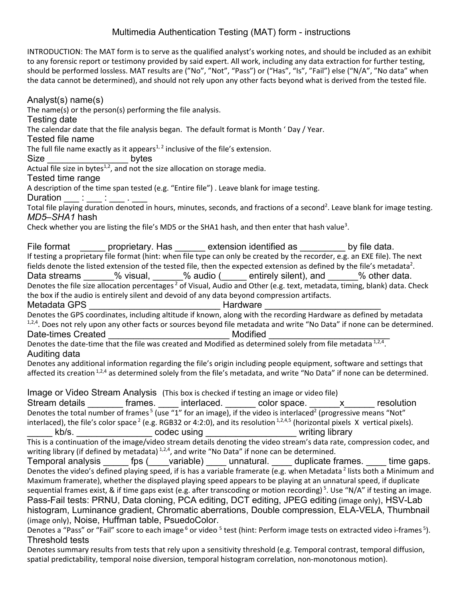## Multimedia Authentication Testing (MAT) form - instructions

INTRODUCTION: The MAT form is to serve as the qualified analyst's working notes, and should be included as an exhibit to any forensic report or testimony provided by said expert. All work, including any data extraction for further testing, should be performed lossless. MAT results are ("No", "Not", "Pass") or ("Has", "Is", "Fail") else ("N/A", "No data" when the data cannot be determined), and should not rely upon any other facts beyond what is derived from the tested file.

Analyst(s) name(s) The name(s) or the person(s) performing the file analysis. Testing date The calendar date that the file analysis began. The default format is Month ' Day / Year. Tested file name The full file name exactly as it appears<sup>1, 2</sup> inclusive of the file's extension. Size bytes Actual file size in bytes $1,2$ , and not the size allocation on storage media. Tested time range A description of the time span tested (e.g. "Entire file") . Leave blank for image testing. Duration  $\_\_\_\_\_\_\_\_\_\_\_\_\_\_\_\_\_$ Total file playing duration denoted in hours, minutes, seconds, and fractions of a second<sup>2</sup>. Leave blank for image testing. *MD5–SHA1* hash Check whether you are listing the file's MD5 or the SHA1 hash, and then enter that hash value<sup>3</sup>. File format extension identified as by file data. If testing a proprietary file format (hint: when file type can only be created by the recorder, e.g. an EXE file). The next fields denote the listed extension of the tested file, then the expected extension as defined by the file's metadata<sup>2</sup>. Data streams \_\_\_\_\_\_% visual, \_\_\_\_\_\_% audio (\_\_\_\_\_ entirely silent), and \_\_\_\_\_\_% other data. Denotes the file size allocation percentages<sup>2</sup> of Visual, Audio and Other (e.g. text, metadata, timing, blank) data. Check the box if the audio is entirely silent and devoid of any data beyond compression artifacts. Metadata GPS \_\_\_\_\_\_\_\_\_\_\_\_\_\_\_\_\_\_\_\_\_\_\_\_\_\_ Hardware \_\_\_\_\_\_\_\_\_\_\_\_\_\_\_\_\_\_\_\_\_\_\_ Denotes the GPS coordinates, including altitude if known, along with the recording Hardware as defined by metadata  $1.2.4$ . Does not rely upon any other facts or sources beyond file metadata and write "No Data" if none can be determined. Date-times Created **Exercise Exercise According Created** Modified Denotes the date-time that the file was created and Modified as determined solely from file metadata 1,2,4. Auditing data Denotes any additional information regarding the file's origin including people equipment, software and settings that affected its creation<sup>1,2,4</sup> as determined solely from the file's metadata, and write "No Data" if none can be determined. Image or Video Stream Analysis (This box is checked if testing an image or video file) Stream details \_\_\_\_\_\_\_ frames. \_\_\_\_ interlaced. \_\_\_\_\_\_ color space. \_\_\_\_\_\_x\_\_\_\_\_\_ resolution Denotes the total number of frames<sup>5</sup> (use "1" for an image), if the video is interlaced<sup>2</sup> (progressive means "Not" interlaced), the file's color space<sup>2</sup> (e.g. RGB32 or 4:2:0), and its resolution  $1,2,4,5$  (horizontal pixels X vertical pixels). \_\_\_\_\_\_ kb/s. \_\_\_\_\_\_\_\_\_\_\_\_\_\_\_\_\_ codec using \_\_\_\_\_\_\_\_\_\_\_\_\_\_\_\_\_\_\_\_\_\_\_ writing library This is a continuation of the image/video stream details denoting the video stream's data rate, compression codec, and writing library (if defined by metadata)  $1,2,4$ , and write "No Data" if none can be determined. Temporal analysis \_\_\_\_\_\_ fps (\_\_\_\_variable) \_\_\_\_\_ unnatural. \_\_\_\_\_ duplicate frames. \_\_\_\_\_ time gaps. Denotes the video's defined playing speed, if is has a variable framerate (e.g. when Metadata<sup>2</sup> lists both a Minimum and Maximum framerate), whether the displayed playing speed appears to be playing at an unnatural speed, if duplicate sequential frames exist, & if time gaps exist (e.g. after transcoding or motion recording)<sup>5</sup>. Use "N/A" if testing an image. Pass-Fail tests: PRNU, Data cloning, PCA editing, DCT editing, JPEG editing (image only), HSV-Lab histogram, Luminance gradient, Chromatic aberrations, Double compression, ELA-VELA, Thumbnail (image only), Noise, Huffman table, PsuedoColor. Denotes a "Pass" or "Fail" score to each image <sup>6</sup> or video <sup>5</sup> test (hint: Perform image tests on extracted video i-frames <sup>5</sup>). Threshold tests

Denotes summary results from tests that rely upon a sensitivity threshold (e.g. Temporal contrast, temporal diffusion, spatial predictability, temporal noise diversion, temporal histogram correlation, non-monotonous motion).